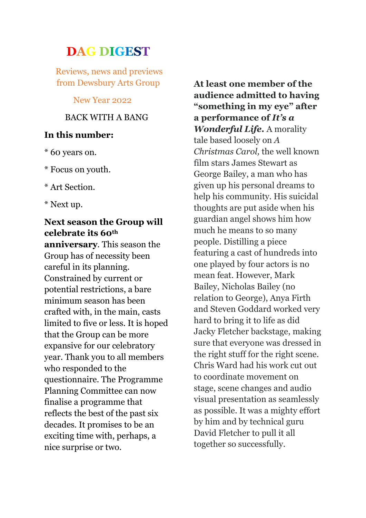# **DAG DIGEST**

Reviews, news and previews from Dewsbury Arts Group

New Year 2022

## BACK WITH A BANG

### **In this number:**

- \* 60 years on.
- \* Focus on youth.
- \* Art Section.
- \* Next up.

# **Next season the Group will celebrate its 60th**

**anniversary**. This season the Group has of necessity been careful in its planning. Constrained by current or potential restrictions, a bare minimum season has been crafted with, in the main, casts limited to five or less. It is hoped that the Group can be more expansive for our celebratory year. Thank you to all members who responded to the questionnaire. The Programme Planning Committee can now finalise a programme that reflects the best of the past six decades. It promises to be an exciting time with, perhaps, a nice surprise or two.

**At least one member of the audience admitted to having "something in my eye" after a performance of** *It's a Wonderful Life.* A morality tale based loosely on *A Christmas Carol,* the well known film stars James Stewart as George Bailey, a man who has given up his personal dreams to help his community. His suicidal thoughts are put aside when his guardian angel shows him how much he means to so many people. Distilling a piece featuring a cast of hundreds into one played by four actors is no mean feat. However, Mark Bailey, Nicholas Bailey (no relation to George), Anya Firth and Steven Goddard worked very hard to bring it to life as did Jacky Fletcher backstage, making sure that everyone was dressed in the right stuff for the right scene. Chris Ward had his work cut out to coordinate movement on stage, scene changes and audio visual presentation as seamlessly as possible. It was a mighty effort by him and by technical guru David Fletcher to pull it all together so successfully.